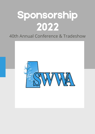# Sponsorship 2022

#### 40th Annual Conference & Tradeshow

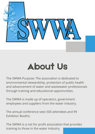

### About Us

The SWWA Purpose: The association is dedicated to environmental stewardship, protection of public health and advancement of water and wastewater professionals through training and educational opportunities.

The SWWA is made up of operators, government employees and suppliers from the water industry.

The annual conference sees 500 attendees and 99 Exhibitor Booths.

The SWWA is a not for profit association that provides training to those in the water industry.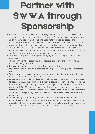## Partner with SWWA through Sponsorship

- Be seen as an industry leader to 500+ delegates expected from Saskatchewan and 99 supplier companies of the industry. SWWA conference delegates represent rural and urban municipalities of small and large water utilities, collections and distribution and wastewater treatment systems. The SWWA also sees government representatives of the industry, engineers, and industry and educational suppliers.
- The SWWA conference is a cost-effective sales and marketing tool that provides unlimited networking of new contacts and great exposure for your business bringing you face to face with your key customers and prospects.
- The ability to capture new prospects through your corporate profile to existing members.
- The opportunity to increase your brand recognition within the province with a decision-making audience.
- Exposure to your target market away from everyday distractions.
- Exposure during the annual event along with exposure leading up to and after the event.
- Sponsors are recognized immediately upon the partnership through advertisement on the SWWA website & in the conference app.
- E-newsletters are used monthly and through them engage the SWWA members with targeted emails, as a sponsor you are given exposure through all e-letters leading up to the annual event from August to the beginning of November. All sponsors who commit to \$1000.00 or more in sponsorship are given the opportunity to have a targeted e-letter of the company product that will be sent out to all SWWA members as well as all delegates registered for the event. **Sponsorship deadline is Sept. 15 each year.**
- The SWWA is given out each year and it continues to get better and provides all those who attend the conference/tradeshow with a tool all members can use to find a supplier who can meet the needs of what they are looking for. The directory is also available on the Pipeline App and on the Pipeline section of the website.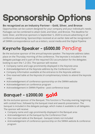# Sponsorship Options

#### **Be recognized as an Industry Partner – Gold, Silver, and Bronze**

Opportunities can be custom designed for your company and your individual's needs. Packages can be combined to attain Gold, and Silver, and Bronze. The deadline for Gold, Silver, and Bronze sponsors is September 5, 2020 to ensure advertising in all conference advertising. Sponsorships received at an earlier date will be recognized in all SWWA correspondence such as e-letters, social media and the Digital Pipeline

### Keynote Speaker - \$5000.00 Pending

Be the exclusive sponsor of the annual keynote speaker. The keynote address takes place on the Thursday morning of the conference. The keynote is included in the delegate package and is part of the required CEU accumulation for the delegates looking to earn the 1.2 CEU. The sponsor will receive:

- Company name and Logo prominently displayed in the Keynote area
- Acknowledgement at the Keynote address by the Conference Chair
- Company Information available at the entrance to the Keynote address
- One reserved table at the Keynote (4 complimentary tickets to attend the keynote only)
- Acknowledgement of conference sponsorship on the SWWA website
- Acknowledgement on conference program
- Acknowledgement in SWWA Pipeline post conference issue

### Banquet - \$2000.00 **Sold**

Be the exclusive sponsor of the Banquet. This function is Thursday evening, beginning with cocktail hour, followed by the banquet meal and awards presentation. The banquet is included in the delegate package, which makes it available to all delegates. The sponsor will receive:

- Company name and Logo prominently displayed in the Banquet area
- Acknowledgement at the banquet by the Conference Chair
- One reserved table at the Banquet banquet tickets not included
- Acknowledgement of conference sponsorship on the SWWA website & conference program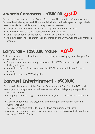### Awards Ceremony - \$1500.00 **SOLD**

Be the exclusive sponsor of the Awards Ceremony. This function is Thursday evening, followed by the banquet meal. This event is included in the delegate package, which makes it available to all delegates. The sponsor will receive:

- Company name and Logo prominently displayed in the Awards Area
- Acknowledgement at the banquet by the Conference Chair
- One reserved table for the Banquet banquet tickets not included
- Acknowledgement of conference sponsorship on the SWWA website & conference program

#### Lanyards - \$2500.00 Value **SOLD**

Each delegate and tradeshow booth will receive lanyards to display name badges. The sponsor will receive:

- Company Name and logo along the lanyard (the SWWA reserves the right to choose the lanyard style)
- Acknowledgement of sponsorship on the SWWA website and the conference program
- Acknowledgement in SWWA Pipeline

#### Banquet Entertainment - \$5000.00

Be the exclusive sponsor of the Banquet Entertainment. This function is Thursday evening and all delegates receive tickets as part of their delegate packages. The sponsor will receive:

- Company name and Logo prominently displayed in the Banquet Entertainment area
- Acknowledgement at the beginning of the Banquet Entertainment by the Conference Chair
- One reserved table at the Banquet and two complimentary tickets
- Acknowledgement of conference sponsorship on the SWWA website, conference program & SWWA Pipeline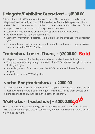### Delegate/Exhibitor Breakfast - \$1500.00

This breakfast is held Thursday of the conference. This event gives suppliers and delegates the opportunity to chat off the tradeshow floor. All delegates/suppliers receive tickets to the event as part of their package. The event includes breakfast and the keynote follows the breakfast. The Sponsor will receive:

- Company name and Logo prominently displayed in the Breakfast area
- Acknowledgement at the event by the MC
- Company information (if desired) to be available at the entrance to the breakfast area
- Acknowledgement of the sponsorship through the conference program, SWWA website and in the SWWA Pipeline

#### Tradeshow Lunch (Thurs.) - \$2000.00 **Sold**

All delegates, presenters for the day and exhibitors receive tickets for lunch:

- Company Name and logo along the lanyard (the SWWA reserves the right to choose the lanyard style)
- Acknowledgement of sponsorship on the SWWA website and the conference program
- Acknowledgement in SWWA Pipeline

#### Nacho Bar (tradeshow) - \$2000.00

Who does not love nachos?!! The best way to keep everyone on the floor during the tradeshow evening hours is to offer unique items that will keep them excited and sticking around to talk with those in the booths at the show.

### Waffle bar (tradeshow) - \$2000.00<mark>501d</mark>

Warm Sugar Waffles Dipped in Belgian Chocolate served with a Selection of Sweet Accoutrements & whipped cream. Can you say yummy in my mouth!! What a perfect way to end the night!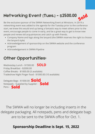#### Networking Event (Tues.) - \$2500.00 **Sold**

Be the exclusive sponsor of the SWWA Networking Event at Winstons. In 2019 a networking event was added to the agenda for the Tuesday prior to the conference start, we knew this would end up being a fantastic way to meet others prior to the event, encourage people to come in early, and be a great way to get to know new people and renew old acquaintances and catch up with friends.

- Company Name and logo along the lanyard (the SWWA reserves the right to choose the lanyard style)
- Acknowledgement of sponsorship on the SWWA website and the conference program
- Acknowledgement in SWWA Pipeline

#### Other Opportunities:

Wednesday Lunch - \$1500.00 Friday Breakfast - \$2000.00 Coffee Breaks - \$1000.00 (5 available) Tradeshow Night Finger food - \$1000.00 (10 available) **SOLD**

Delegate Bags - \$1000.00 **Sold**Notepads - Supplied by Supplier - **Sold** Pens - **Sold**

The SWWA will no longer be including inserts in the delegate packaging. All notepads, pens and delegate bags are to be sent to the SWWA office for Oct. 1.

#### **Sponsorship Deadline is Sept. 15, 2022**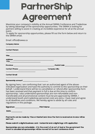## PartnerShip Agreement

Maximize your company's visibility at the Annual SWWA Conference and Tradeshow by taking advantage of the sponsorship opportunities. The SWWA is looking for partners willing to assist in creating an incredible experience for all at the annual event.

To apply for sponsorship opportunities, please fill out the form below and return to the SWWA email.

Email: office@swwa.ca

| <b>Company Name:</b>                                                                |  |
|-------------------------------------------------------------------------------------|--|
| <b>Contact Person:</b>                                                              |  |
|                                                                                     |  |
| City:_________________________________                                              |  |
|                                                                                     |  |
| Contact Phone: __________________________ Company URL:<br>.________________________ |  |
| <b>Contact Email:</b>                                                               |  |
| Sponsorship Amount ________________________                                         |  |

By signing here, I am confirming that I am an authorized agent of the aboveindicated organization and have the authority to commit to this sponsorship on their behalf. I understand there will be no cancellation or refund after sponsorship form has been received and that payment in full is due at this time to confirm sponsorship. I also understand sponsorships are non-refundable and nontransferable and all promotional content must be pre-approved by SWWA. I understand booth and tradeshow personnel costs are extra. I have read and agree to all deadlines and conditions. We hereby agree to abide by all rules and regulations in this package.

| <b>Signature:</b> | <b>Print Name:</b> |      |
|-------------------|--------------------|------|
|                   |                    | ____ |

Date: \_\_\_\_\_\_\_\_\_

Payments can be made by Visa or MasterCard. Once the form is received an invoice will be sent out.

Please submit a digital business card - horizontal and a digital logo with application

Sponsorships are non-refundable - if in the event of an act of God or the government the event is cancelled all sponsorships will be moved tot he next conference event